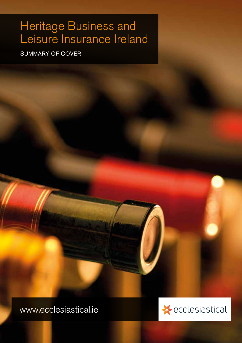# Heritage Business and Leisure Insurance Ireland

SUMMARY OF COVER

www.ecclesiastical.ie

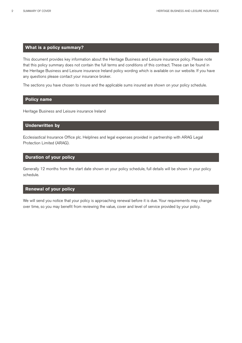## **What is a policy summary?**

This document provides key information about the Heritage Business and Leisure insurance policy. Please note that this policy summary does not contain the full terms and conditions of this contract. These can be found in the Heritage Business and Leisure insurance Ireland policy wording which is available on our website. If you have any questions please contact your insurance broker.

The sections you have chosen to insure and the applicable sums insured are shown on your policy schedule.

## **Policy name**

Heritage Business and Leisure insurance Ireland

## **Underwritten by**

Ecclesiastical Insurance Office plc. Helplines and legal expenses provided in partnership with ARAG Legal Protection Limited (ARAG).

## **Duration of your policy**

Generally 12 months from the start date shown on your policy schedule, full details will be shown in your policy schedule.

### **Renewal of your policy**

We will send you notice that your policy is approaching renewal before it is due. Your requirements may change over time, so you may benefit from reviewing the value, cover and level of service provided by your policy.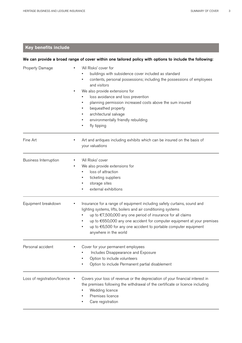# **Key benefits include**

|                              | We can provide a broad range of cover within one tailored policy with options to include the following:                                                                                                                                                                                                                                                                                                                      |
|------------------------------|------------------------------------------------------------------------------------------------------------------------------------------------------------------------------------------------------------------------------------------------------------------------------------------------------------------------------------------------------------------------------------------------------------------------------|
| Property Damage              | 'All Risks' cover for<br>buildings with subsidence cover included as standard<br>contents, personal possessions; including the possessions of employees<br>and visitors<br>We also provide extensions for<br>loss avoidance and loss prevention<br>planning permission increased costs above the sum insured<br>bequeathed property<br>٠<br>architectural salvage<br>environmentally friendly rebuilding<br>٠<br>fly tipping |
| Fine Art                     | Art and antiques including exhibits which can be insured on the basis of<br>your valuations                                                                                                                                                                                                                                                                                                                                  |
| <b>Business Interruption</b> | 'All Risks' cover<br>We also provide extensions for<br>٠<br>loss of attraction<br>ticketing suppliers<br>storage sites<br>٠<br>external exhibitions                                                                                                                                                                                                                                                                          |
| Equipment breakdown          | Insurance for a range of equipment including safety curtains, sound and<br>lighting systems, lifts, boilers and air conditioning systems<br>up to €7,500,000 any one period of insurance for all claims<br>up to €650,000 any one accident for computer equipment at your premises<br>up to €6,500 for any one accident to portable computer equipment<br>anywhere in the world                                              |
| Personal accident            | Cover for your permanent employees<br>Includes Disappearance and Exposure<br>Option to include volunteers<br>Option to include Permanent partial disablement                                                                                                                                                                                                                                                                 |
| Loss of registration/licence | Covers your loss of revenue or the depreciation of your financial interest in<br>the premises following the withdrawal of the certificate or licence including<br>Wedding licence<br>Premises licence<br>Care registration                                                                                                                                                                                                   |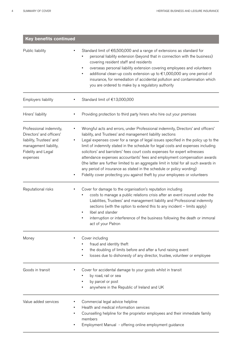| <b>Key benefits continued</b>                                                                                                              |                                                                                                                                                                                                                                                                                                                                                                                                                                                                                                                                                                                                                                                                                                                                    |  |  |
|--------------------------------------------------------------------------------------------------------------------------------------------|------------------------------------------------------------------------------------------------------------------------------------------------------------------------------------------------------------------------------------------------------------------------------------------------------------------------------------------------------------------------------------------------------------------------------------------------------------------------------------------------------------------------------------------------------------------------------------------------------------------------------------------------------------------------------------------------------------------------------------|--|--|
| Public liability                                                                                                                           | Standard limit of $\epsilon$ 6,500,000 and a range of extensions as standard for<br>personal liability extension (beyond that in connection with the business)<br>covering resident staff and residents<br>overseas personal liability extension covering employees and volunteers<br>additional clean-up costs extension up to €1,000,000 any one period of<br>insurance, for remediation of accidental pollution and contamination which<br>you are ordered to make by a regulatory authority                                                                                                                                                                                                                                    |  |  |
| Employers liability                                                                                                                        | Standard limit of €13,000,000                                                                                                                                                                                                                                                                                                                                                                                                                                                                                                                                                                                                                                                                                                      |  |  |
| Hirers' liability                                                                                                                          | Providing protection to third party hirers who hire out your premises                                                                                                                                                                                                                                                                                                                                                                                                                                                                                                                                                                                                                                                              |  |  |
| Professional indemnity,<br>Directors' and officers'<br>liability, Trustees' and<br>management liability,<br>Fidelity and Legal<br>expenses | Wrongful acts and errors, under Professional indemnity, Directors' and officers'<br>liability, and Trustees' and management liability sections<br>Legal expenses cover for a range of legal issues specified in the policy up to the<br>limit of indemnity stated in the schedule for legal costs and expenses including<br>solicitors' and barristers' fees court costs expenses for expert witnesses<br>attendance expenses accountants' fees and employment compensation awards<br>(the latter are further limited to an aggregate limit in total for all such awards in<br>any period of insurance as stated in the schedule or policy wording)<br>Fidelity cover protecting you against theft by your employees or volunteers |  |  |
| Reputational risks                                                                                                                         | Cover for damage to the organisation's reputation including<br>costs to manage a public relations crisis after an event insured under the<br>Liabilities, Trustees' and management liability and Professional indemnity<br>sections (with the option to extend this to any incident - limits apply)<br>libel and slander<br>interruption or interference of the business following the death or immoral<br>act of your Patron                                                                                                                                                                                                                                                                                                      |  |  |
| Money                                                                                                                                      | Cover including<br>fraud and identity theft<br>the doubling of limits before and after a fund raising event<br>losses due to dishonesty of any director, trustee, volunteer or employee                                                                                                                                                                                                                                                                                                                                                                                                                                                                                                                                            |  |  |
| Goods in transit                                                                                                                           | Cover for accidental damage to your goods whilst in transit<br>by road, rail or sea<br>by parcel or post<br>anywhere in the Republic of Ireland and UK                                                                                                                                                                                                                                                                                                                                                                                                                                                                                                                                                                             |  |  |
| Value added services                                                                                                                       | Commercial legal advice helpline<br>Health and medical information services<br>Counselling helpline for the proprietor employees and their immediate family<br>members<br>Employment Manual - offering online employment guidance                                                                                                                                                                                                                                                                                                                                                                                                                                                                                                  |  |  |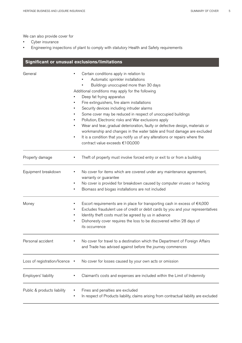We can also provide cover for

- Cyber insurance
- Engineering inspections of plant to comply with statutory Health and Safety requirements

| Significant or unusual exclusions/limitations |                                                                                                                                                                                                                                                                                                                                                                                                                                                                                                                                                                                                                                                                                                                      |  |
|-----------------------------------------------|----------------------------------------------------------------------------------------------------------------------------------------------------------------------------------------------------------------------------------------------------------------------------------------------------------------------------------------------------------------------------------------------------------------------------------------------------------------------------------------------------------------------------------------------------------------------------------------------------------------------------------------------------------------------------------------------------------------------|--|
| General                                       | Certain conditions apply in relation to<br>Automatic sprinkler installations<br>Buildings unoccupied more than 30 days<br>Additional conditions may apply for the following<br>Deep fat frying apparatus<br>Fire extinguishers, fire alarm installations<br>Security devices including intruder alarms<br>Some cover may be reduced in respect of unoccupied buildings<br>Pollution, Electronic risks and War exclusions apply<br>Wear and tear, gradual deterioration, faulty or defective design, materials or<br>workmanship and changes in the water table and frost damage are excluded<br>It is a condition that you notify us of any alterations or repairs where the<br>٠<br>contract value exceeds €100,000 |  |
| Property damage                               | Theft of property must involve forced entry or exit to or from a building                                                                                                                                                                                                                                                                                                                                                                                                                                                                                                                                                                                                                                            |  |
| Equipment breakdown                           | No cover for items which are covered under any maintenance agreement,<br>warranty or guarantee<br>No cover is provided for breakdown caused by computer viruses or hacking<br>Biomass and biogas installations are not included                                                                                                                                                                                                                                                                                                                                                                                                                                                                                      |  |
| Money                                         | Escort requirements are in place for transporting cash in excess of $€4,000$<br>Excludes fraudulent use of credit or debit cards by you and your representatives<br>Identity theft costs must be agreed by us in advance<br>Dishonesty cover requires the loss to be discovered within 28 days of<br>its occurrence                                                                                                                                                                                                                                                                                                                                                                                                  |  |
| Personal accident                             | No cover for travel to a destination which the Department of Foreign Affairs<br>and Trade has advised against before the journey commences                                                                                                                                                                                                                                                                                                                                                                                                                                                                                                                                                                           |  |
| Loss of registration/licence                  | No cover for losses caused by your own acts or omission                                                                                                                                                                                                                                                                                                                                                                                                                                                                                                                                                                                                                                                              |  |
| Employers' liability                          | Claimant's costs and expenses are included within the Limit of Indemnity                                                                                                                                                                                                                                                                                                                                                                                                                                                                                                                                                                                                                                             |  |
| Public & products liability                   | Fines and penalties are excluded<br>In respect of Products liability, claims arising from contractual liability are excluded                                                                                                                                                                                                                                                                                                                                                                                                                                                                                                                                                                                         |  |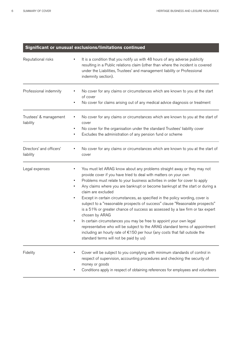## **Significant or unusual exclusions/limitations continued**

| Reputational risks                    | It is a condition that you notify us with 48 hours of any adverse publicity<br>resulting in a Public relations claim (other than where the incident is covered<br>under the Liabilities, Trustees' and management liability or Professional<br>indemnity section).                                                                                                                                                                                                                                                                                                                                                                                                                                                                                                                                                                                                                        |
|---------------------------------------|-------------------------------------------------------------------------------------------------------------------------------------------------------------------------------------------------------------------------------------------------------------------------------------------------------------------------------------------------------------------------------------------------------------------------------------------------------------------------------------------------------------------------------------------------------------------------------------------------------------------------------------------------------------------------------------------------------------------------------------------------------------------------------------------------------------------------------------------------------------------------------------------|
| Professional indemnity                | No cover for any claims or circumstances which are known to you at the start<br>of cover<br>No cover for claims arising out of any medical advice diagnosis or treatment<br>٠                                                                                                                                                                                                                                                                                                                                                                                                                                                                                                                                                                                                                                                                                                             |
| Trustees' & management<br>liability   | No cover for any claims or circumstances which are known to you at the start of<br>cover<br>No cover for the organisation under the standard Trustees' liability cover<br>Excludes the administration of any pension fund or scheme                                                                                                                                                                                                                                                                                                                                                                                                                                                                                                                                                                                                                                                       |
| Directors' and officers'<br>liability | No cover for any claims or circumstances which are known to you at the start of<br>cover                                                                                                                                                                                                                                                                                                                                                                                                                                                                                                                                                                                                                                                                                                                                                                                                  |
| Legal expenses                        | You must let ARAG know about any problems straight away or they may not<br>provide cover if you have tried to deal with matters on your own<br>Problems must relate to your business activities in order for cover to apply<br>Any claims where you are bankrupt or become bankrupt at the start or during a<br>claim are excluded<br>Except in certain circumstances, as specified in the policy wording, cover is<br>٠<br>subject to a "reasonable prospects of success" clause "Reasonable prospects"<br>is a 51% or greater chance of success as assessed by a law firm or tax expert<br>chosen by ARAG<br>In certain circumstances you may be free to appoint your own legal<br>representative who will be subject to the ARAG standard terms of appointment<br>including an hourly rate of €150 per hour (any costs that fall outside the<br>standard terms will not be paid by us) |
| Fidelity                              | Cover will be subject to you complying with minimum standards of control in<br>respect of supervision, accounting procedures and checking the security of<br>money or goods<br>Conditions apply in respect of obtaining references for employees and volunteers                                                                                                                                                                                                                                                                                                                                                                                                                                                                                                                                                                                                                           |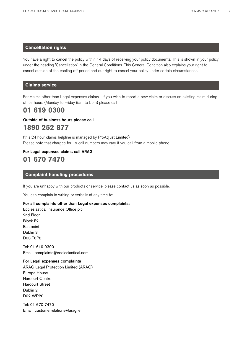### **Cancellation rights**

You have a right to cancel the policy within 14 days of receiving your policy documents. This is shown in your policy under the heading 'Cancellation' in the General Conditions. This General Condition also explains your right to cancel outside of the cooling off period and our right to cancel your policy under certain circumstances.

## **Claims service**

For claims other than Legal expenses claims - If you wish to report a new claim or discuss an existing claim during office hours (Monday to Friday 9am to 5pm) please call

# **01 619 0300**

## Outside of business hours please call **1890 252 877**

(this 24 hour claims helpline is managed by ProAdjust Limited) Please note that charges for Lo-call numbers may vary if you call from a mobile phone

## For Legal expenses claims call ARAG **01 670 7470**

## **Complaint handling procedures**

If you are unhappy with our products or service, please contact us as soon as possible.

You can complain in writing or verbally at any time to:

#### For all complaints other than Legal expenses complaints:

Ecclesiastical Insurance Office plc 2nd Floor Block F2 **Eastpoint** Dublin 3 D03 T6P8

Tel: 01 619 0300 Email: complaints@ecclesiastical.com

## For Legal expenses complaints

ARAG Legal Protection Limited (ARAG) Europa House Harcourt Centre Harcourt Street Dublin 2 D02 WR20

Tel: 01 670 7470 Email: customerrelations@arag.ie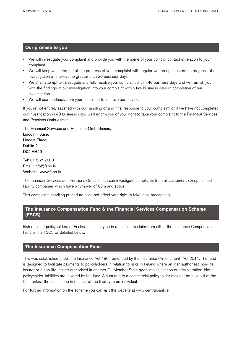### **Our promise to you**

- We will investigate your complaint and provide you with the name of your point of contact in relation to your complaint.
- We will keep you informed of the progress of your complaint with regular written updates on the progress of our investigation at intervals no greater than 20 business days.
- We shall attempt to investigate and fully resolve your complaint within 40 business days and will furnish you with the findings of our investigation into your complaint within five business days of completion of our investigation.
- We will use feedback from your complaint to improve our service.

If you're not entirely satisfied with our handling of and final response to your complaint, or if we have not completed our investigation in 40 business days, we'll inform you of your right to take your complaint to the Financial Services and Pensions Ombudsman.

The Financial Services and Pensions Ombudsman, Lincoln House,

Lincoln Place, Dublin 2 D02 VH29

Tel: 01 567 7000 Email: info@fspo.ie Website: www.fspo.ie

The Financial Services and Pensions Ombudsman can investigate complaints from all customers, except limited liability companies which have a turnover of €3m and above.

This complaints handling procedure does not affect your right to take legal proceedings.

## **The Insurance Compensation Fund & the Financial Services Compensation Scheme (FSCS)**

Irish resident policyholders of Ecclesiastical may be in a position to claim from either the Insurance Compensation Fund or the FSCS as detailed below.

### **The Insurance Compensation Fund**

This was established under the Insurance Act 1964 amended by the Insurance (Amendment) Act 2011. The fund is designed to facilitate payments to policyholders in relation to risks in Ireland where an Irish-authorised non-life insurer or a non-life insurer authorised in another EU Member State goes into liquidation or administration. Not all policyholder liabilities are covered by the fund. A sum due to a commercial policyholder may not be paid out of the fund unless the sum is due in respect of the liability to an individual.

For further information on the scheme you can visit the website at www.centralbank.ie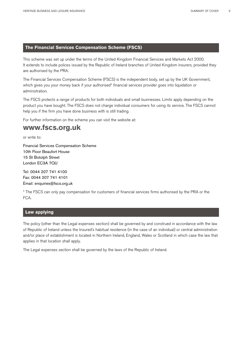## **The Financial Services Compensation Scheme (FSCS)**

This scheme was set up under the terms of the United Kingdom Financial Services and Markets Act 2000. It extends to include polices issued by the Republic of Ireland branches of United Kingdom insurers, provided they are authorised by the PRA.

The Financial Services Compensation Scheme (FSCS) is the independent body, set up by the UK Government, which gives you your money back if your authorised\* financial services provider goes into liquidation or administration.

The FSCS protects a range of products for both individuals and small businesses. Limits apply depending on the product you have bought. The FSCS does not charge individual consumers for using its service. The FSCS cannot help you if the firm you have done business with is still trading.

For further information on the scheme you can visit the website at:

# **www.fscs.org.uk**

or write to:

Financial Services Compensation Scheme 10th Floor Beaufort House 15 St Botolph Street London EC3A 7QU

Tel: 0044 207 741 4100 Fax: 0044 207 741 4101 Email: enquiries@fscs.org.uk

\* The FSCS can only pay compensation for customers of financial services firms authorised by the PRA or the FCA.

## **Law applying**

The policy (other than the Legal expenses section) shall be governed by and construed in accordance with the law of Republic of Ireland unless the Insured's habitual residence (in the case of an individual) or central administration and/or place of establishment is located in Northern Ireland, England, Wales or Scotland in which case the law that applies in that location shall apply.

The Legal expenses section shall be governed by the laws of the Republic of Ireland.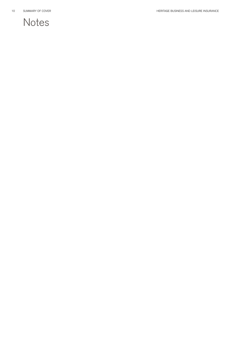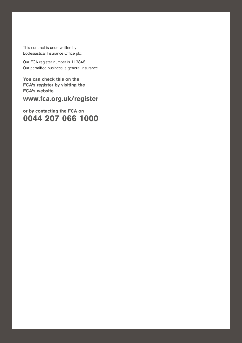This contract is underwritten by: Ecclesiastical Insurance Office plc.

Our FCA register number is 113848. apply (except the Legal expenses section which is subject to the United Kingdom, Channell Channell Channell Cha Our permitted business is general insurance.<br>.

HERITAGE BUSINESS AND LEISURE INSURANCE SUMMARY OF COVER 11

**You can check this on the FCA's register by visiting the FCA's website**

**www.fca.org.uk/register** 

**or by contacting the FCA on 0044 207 066 1000**